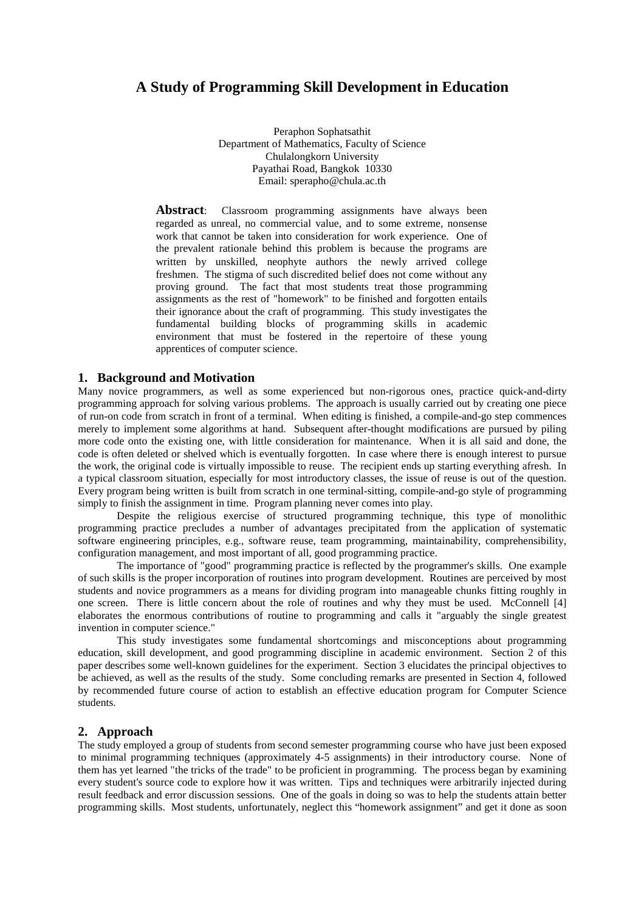# **A Study of Programming Skill Development in Education**

Peraphon Sophatsathit Department of Mathematics, Faculty of Science Chulalongkorn University Payathai Road, Bangkok 10330 Email: sperapho@chula.ac.th

Abstract: Classroom programming assignments have always been regarded as unreal, no commercial value, and to some extreme, nonsense work that cannot be taken into consideration for work experience. One of the prevalent rationale behind this problem is because the programs are written by unskilled, neophyte authors—the newly arrived college freshmen. The stigma of such discredited belief does not come without any proving ground. The fact that most students treat those programming assignments as the rest of "homework" to be finished and forgotten entails their ignorance about the craft of programming. This study investigates the fundamental building blocks of programming skills in academic environment that must be fostered in the repertoire of these young apprentices of computer science.

## **1. Background and Motivation**

Many novice programmers, as well as some experienced but non-rigorous ones, practice quick-and-dirty programming approach for solving various problems. The approach is usually carried out by creating one piece of run-on code from scratch in front of a terminal. When editing is finished, a compile-and-go step commences merely to implement some algorithms at hand. Subsequent after-thought modifications are pursued by piling more code onto the existing one, with little consideration for maintenance. When it is all said and done, the code is often deleted or shelved which is eventually forgotten. In case where there is enough interest to pursue the work, the original code is virtually impossible to reuse. The recipient ends up starting everything afresh. In a typical classroom situation, especially for most introductory classes, the issue of reuse is out of the question. Every program being written is built from scratch in one terminal-sitting, compile-and-go style of programming simply to finish the assignment in time. Program planning never comes into play.

Despite the religious exercise of structured programming technique, this type of monolithic programming practice precludes a number of advantages precipitated from the application of systematic software engineering principles, e.g., software reuse, team programming, maintainability, comprehensibility, configuration management, and most important of all, good programming practice.

The importance of "good" programming practice is reflected by the programmer's skills. One example of such skills is the proper incorporation of routines into program development. Routines are perceived by most students and novice programmers as a means for dividing program into manageable chunks fitting roughly in one screen. There is little concern about the role of routines and why they must be used. McConnell [4] elaborates the enormous contributions of routine to programming and calls it "arguably the single greatest invention in computer science."

This study investigates some fundamental shortcomings and misconceptions about programming education, skill development, and good programming discipline in academic environment. Section 2 of this paper describes some well-known guidelines for the experiment. Section 3 elucidates the principal objectives to be achieved, as well as the results of the study. Some concluding remarks are presented in Section 4, followed by recommended future course of action to establish an effective education program for Computer Science students.

## **2. Approach**

The study employed a group of students from second semester programming course who have just been exposed to minimal programming techniques (approximately 4-5 assignments) in their introductory course. None of them has yet learned "the tricks of the trade" to be proficient in programming. The process began by examining every student's source code to explore how it was written. Tips and techniques were arbitrarily injected during result feedback and error discussion sessions. One of the goals in doing so was to help the students attain better programming skills. Most students, unfortunately, neglect this "homework assignment" and get it done as soon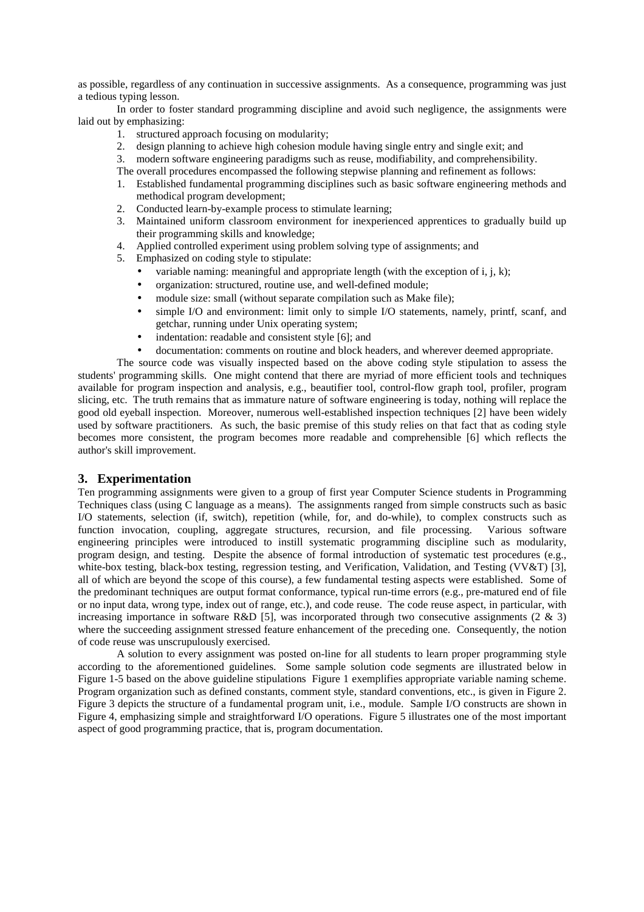as possible, regardless of any continuation in successive assignments. As a consequence, programming was just a tedious typing lesson.

In order to foster standard programming discipline and avoid such negligence, the assignments were laid out by emphasizing:

- 1. structured approach focusing on modularity;
- 2. design planning to achieve high cohesion module having single entry and single exit; and
- 3. modern software engineering paradigms such as reuse, modifiability, and comprehensibility.

The overall procedures encompassed the following stepwise planning and refinement as follows:

- 1. Established fundamental programming disciplines such as basic software engineering methods and methodical program development;
- 2. Conducted learn-by-example process to stimulate learning;
- 3. Maintained uniform classroom environment for inexperienced apprentices to gradually build up their programming skills and knowledge;
- 4. Applied controlled experiment using problem solving type of assignments; and
- 5. Emphasized on coding style to stipulate:
	- variable naming: meaningful and appropriate length (with the exception of i, j, k);
	- organization: structured, routine use, and well-defined module;
	- module size: small (without separate compilation such as Make file);
	- simple I/O and environment: limit only to simple I/O statements, namely, printf, scanf, and getchar, running under Unix operating system;
	- indentation: readable and consistent style [6]; and
	- documentation: comments on routine and block headers, and wherever deemed appropriate.

The source code was visually inspected based on the above coding style stipulation to assess the students' programming skills. One might contend that there are myriad of more efficient tools and techniques available for program inspection and analysis, e.g., beautifier tool, control-flow graph tool, profiler, program slicing, etc. The truth remains that as immature nature of software engineering is today, nothing will replace the good old eyeball inspection. Moreover, numerous well-established inspection techniques [2] have been widely used by software practitioners. As such, the basic premise of this study relies on that fact that as coding style becomes more consistent, the program becomes more readable and comprehensible [6] which reflects the author's skill improvement.

# **3. Experimentation**

Ten programming assignments were given to a group of first year Computer Science students in Programming Techniques class (using C language as a means). The assignments ranged from simple constructs such as basic I/O statements, selection (if, switch), repetition (while, for, and do-while), to complex constructs such as function invocation, coupling, aggregate structures, recursion, and file processing. Various software engineering principles were introduced to instill systematic programming discipline such as modularity, program design, and testing. Despite the absence of formal introduction of systematic test procedures (e.g., white-box testing, black-box testing, regression testing, and Verification, Validation, and Testing (VV&T) [3], all of which are beyond the scope of this course), a few fundamental testing aspects were established. Some of the predominant techniques are output format conformance, typical run-time errors (e.g., pre-matured end of file or no input data, wrong type, index out of range, etc.), and code reuse. The code reuse aspect, in particular, with increasing importance in software R&D [5], was incorporated through two consecutive assignments (2  $\&$  3) where the succeeding assignment stressed feature enhancement of the preceding one. Consequently, the notion of code reuse was unscrupulously exercised.

A solution to every assignment was posted on-line for all students to learn proper programming style according to the aforementioned guidelines. Some sample solution code segments are illustrated below in Figure 1-5 based on the above guideline stipulations Figure 1 exemplifies appropriate variable naming scheme. Program organization such as defined constants, comment style, standard conventions, etc., is given in Figure 2. Figure 3 depicts the structure of a fundamental program unit, i.e., module. Sample I/O constructs are shown in Figure 4, emphasizing simple and straightforward I/O operations. Figure 5 illustrates one of the most important aspect of good programming practice, that is, program documentation.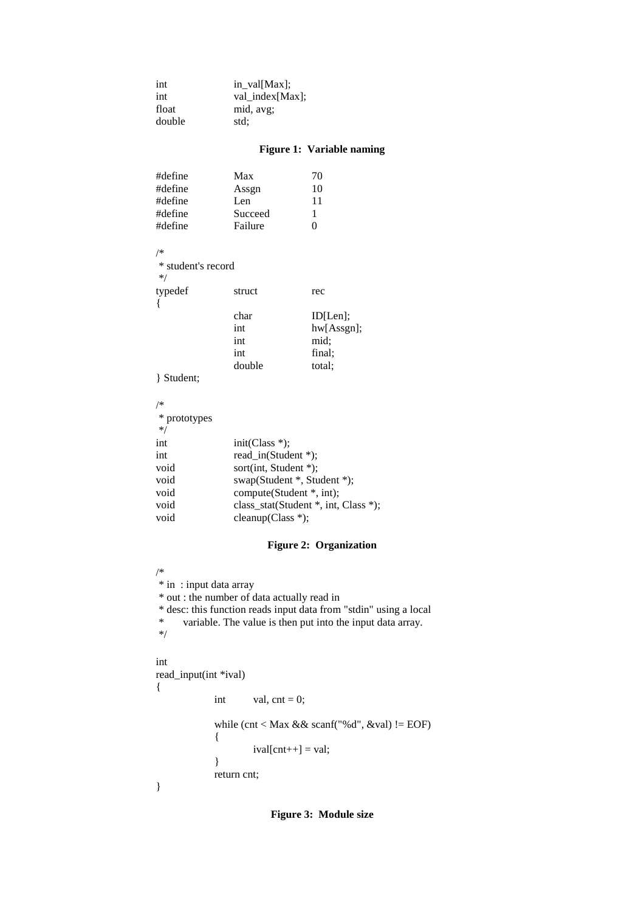| int    | in_val[Max];    |
|--------|-----------------|
| int    | val_index[Max]; |
| float  | mid, avg;       |
| double | std:            |

# **Figure 1: Variable naming**

| #define | Max     | 70       |
|---------|---------|----------|
| #define | Assgn   | 10       |
| #define | Len     | 11       |
| #define | Succeed | 1        |
| #define | Failure | $\Omega$ |

/\*

| * student's record<br>$*$ |        |               |
|---------------------------|--------|---------------|
| typedef                   | struct | rec           |
|                           | char   | ID[Len];      |
|                           | int    | $hw[Assgn]$ ; |
|                           | int    | mid:          |

} Student;

| /*           |                                      |
|--------------|--------------------------------------|
| * prototypes |                                      |
| $*$          |                                      |
| int          | $init(Class *)$ ;                    |
| int          | read in $(Student^*)$ ;              |
| void         | sort(int, Student $*$ );             |
| void         | swap(Student *, Student *);          |
| void         | compute(Student *, int);             |
| void         | class_stat(Student *, int, Class *); |
| void         | cleanup(Class *);                    |

int final; double total;

# **Figure 2: Organization**

```
/*
* in : input data array
* out : the number of data actually read in
* desc: this function reads input data from "stdin" using a local
     variable. The value is then put into the input data array.
*/
```
#### int

{

}

read\_input(int \*ival) int val,  $cnt = 0$ ; while (cnt < Max && scanf("%d", &val) != EOF) {  $ival[cnt++] = val;$ } return cnt;

**Figure 3: Module size**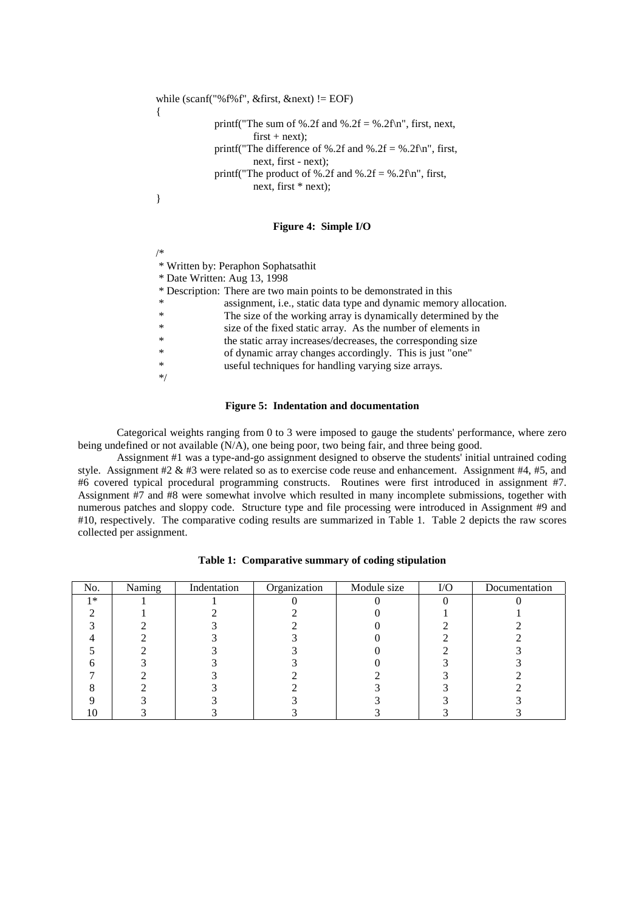```
while (scanf("%f%f", &first, &next) != EOF)
            printf("The sum of %.2f and %.2f = %.2f\n", first, next,
                     first + next;
            printf("The difference of %.2f and %.2f = %.2f\n", first,
                     next, first - next);
            printf("The product of %.2f and %.2f = %.2f\n", first,
                     next, first * next);
```
#### **Figure 4: Simple I/O**

 \* Written by: Peraphon Sophatsathit \* Date Written: Aug 13, 1998 \* Description: There are two main points to be demonstrated in this assignment, i.e., static data type and dynamic memory allocation. The size of the working array is dynamically determined by the \* size of the fixed static array. As the number of elements in \* the static array increases/decreases, the corresponding size \* of dynamic array changes accordingly. This is just "one" \* useful techniques for handling varying size arrays. \*/

#### **Figure 5: Indentation and documentation**

Categorical weights ranging from 0 to 3 were imposed to gauge the students' performance, where zero being undefined or not available (N/A), one being poor, two being fair, and three being good.

Assignment #1 was a type-and-go assignment designed to observe the students' initial untrained coding style. Assignment  $#2 \& #3$  were related so as to exercise code reuse and enhancement. Assignment  $#4, #5$ , and #6 covered typical procedural programming constructs. Routines were first introduced in assignment #7. Assignment #7 and #8 were somewhat involve which resulted in many incomplete submissions, together with numerous patches and sloppy code. Structure type and file processing were introduced in Assignment #9 and #10, respectively. The comparative coding results are summarized in Table 1. Table 2 depicts the raw scores collected per assignment.

| No.  | Naming | Indentation | Organization | Module size | ${\rm I/O}$ | Documentation |
|------|--------|-------------|--------------|-------------|-------------|---------------|
| $1*$ |        |             |              |             |             |               |
|      |        |             |              |             |             |               |
|      |        |             |              |             |             |               |
|      |        |             |              |             |             |               |
|      |        |             |              |             |             |               |
|      |        |             |              |             |             |               |
|      |        |             |              |             |             |               |
|      |        |             |              |             |             |               |
|      |        |             |              |             |             |               |
|      |        |             |              |             |             |               |

**Table 1: Comparative summary of coding stipulation**

/\*

}

{